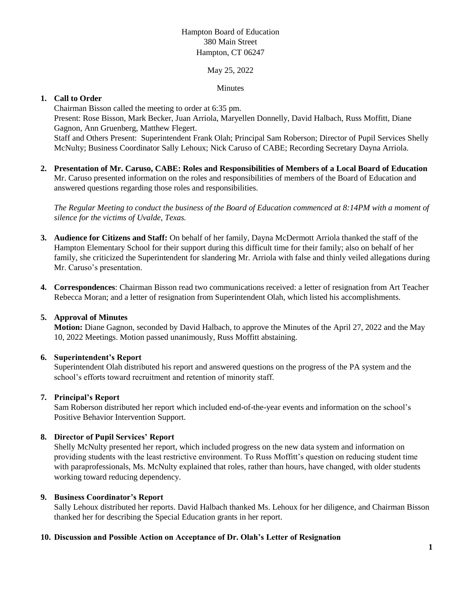# Hampton Board of Education 380 Main Street Hampton, CT 06247

### May 25, 2022

### Minutes

## **1. Call to Order**

Chairman Bisson called the meeting to order at 6:35 pm. Present: Rose Bisson, Mark Becker, Juan Arriola, Maryellen Donnelly, David Halbach, Russ Moffitt, Diane Gagnon, Ann Gruenberg, Matthew Flegert. Staff and Others Present: Superintendent Frank Olah; Principal Sam Roberson; Director of Pupil Services Shelly McNulty; Business Coordinator Sally Lehoux; Nick Caruso of CABE; Recording Secretary Dayna Arriola.

**2. Presentation of Mr. Caruso, CABE: Roles and Responsibilities of Members of a Local Board of Education** Mr. Caruso presented information on the roles and responsibilities of members of the Board of Education and answered questions regarding those roles and responsibilities.

*The Regular Meeting to conduct the business of the Board of Education commenced at 8:14PM with a moment of silence for the victims of Uvalde, Texas.*

- **3. Audience for Citizens and Staff:** On behalf of her family, Dayna McDermott Arriola thanked the staff of the Hampton Elementary School for their support during this difficult time for their family; also on behalf of her family, she criticized the Superintendent for slandering Mr. Arriola with false and thinly veiled allegations during Mr. Caruso's presentation.
- **4. Correspondences**: Chairman Bisson read two communications received: a letter of resignation from Art Teacher Rebecca Moran; and a letter of resignation from Superintendent Olah, which listed his accomplishments.

#### **5. Approval of Minutes**

**Motion:** Diane Gagnon, seconded by David Halbach, to approve the Minutes of the April 27, 2022 and the May 10, 2022 Meetings. Motion passed unanimously, Russ Moffitt abstaining.

#### **6. Superintendent's Report**

Superintendent Olah distributed his report and answered questions on the progress of the PA system and the school's efforts toward recruitment and retention of minority staff.

#### **7. Principal's Report**

Sam Roberson distributed her report which included end-of-the-year events and information on the school's Positive Behavior Intervention Support.

### **8. Director of Pupil Services' Report**

Shelly McNulty presented her report, which included progress on the new data system and information on providing students with the least restrictive environment. To Russ Moffitt's question on reducing student time with paraprofessionals, Ms. McNulty explained that roles, rather than hours, have changed, with older students working toward reducing dependency.

#### **9. Business Coordinator's Report**

Sally Lehoux distributed her reports. David Halbach thanked Ms. Lehoux for her diligence, and Chairman Bisson thanked her for describing the Special Education grants in her report.

#### **10. Discussion and Possible Action on Acceptance of Dr. Olah's Letter of Resignation**